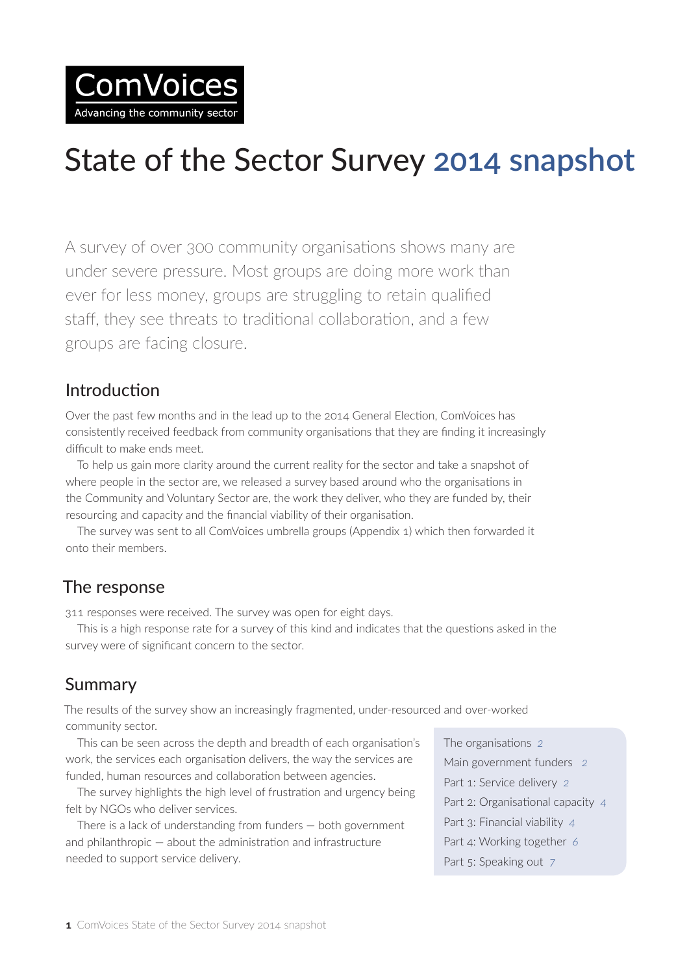

# State of the Sector Survey **2014 snapshot**

A survey of over 300 community organisations shows many are under severe pressure. Most groups are doing more work than ever for less money, groups are struggling to retain qualified staff, they see threats to traditional collaboration, and a few groups are facing closure.

#### Introduction

Over the past few months and in the lead up to the 2014 General Election, ComVoices has consistently received feedback from community organisations that they are finding it increasingly difficult to make ends meet.

To help us gain more clarity around the current reality for the sector and take a snapshot of where people in the sector are, we released a survey based around who the organisations in the Community and Voluntary Sector are, the work they deliver, who they are funded by, their resourcing and capacity and the financial viability of their organisation.

The survey was sent to all ComVoices umbrella groups (Appendix 1) which then forwarded it onto their members.

## The response

311 responses were received. The survey was open for eight days.

This is a high response rate for a survey of this kind and indicates that the questions asked in the survey were of significant concern to the sector.

# Summary

The results of the survey show an increasingly fragmented, under-resourced and over-worked community sector.

This can be seen across the depth and breadth of each organisation's work, the services each organisation delivers, the way the services are funded, human resources and collaboration between agencies.

The survey highlights the high level of frustration and urgency being felt by NGOs who deliver services.

There is a lack of understanding from funders — both government and philanthropic — about the administration and infrastructure needed to support service delivery.

The organisations *2* Main government funders *2* Part 1: Service delivery *2* Part 2: Organisational capacity *4* Part 3: Financial viability *4* Part 4: Working together *6* Part 5: Speaking out *7*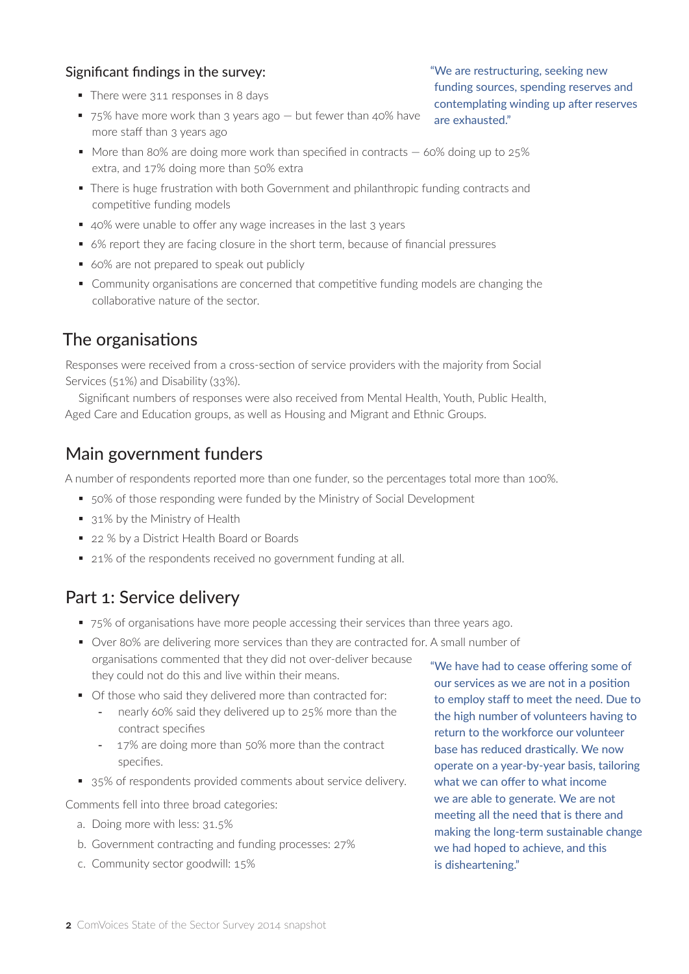#### Significant findings in the survey:

- There were 311 responses in 8 days
- 75% have more work than 3 years ago but fewer than 40% have more staff than 3 years ago
- $\blacksquare$  More than 80% are doing more work than specified in contracts  $-$  60% doing up to 25% extra, and 17% doing more than 50% extra
- There is huge frustration with both Government and philanthropic funding contracts and competitive funding models
- 40% were unable to offer any wage increases in the last 3 years
- 6% report they are facing closure in the short term, because of financial pressures
- 60% are not prepared to speak out publicly
- Community organisations are concerned that competitive funding models are changing the collaborative nature of the sector.

## The organisations

Responses were received from a cross-section of service providers with the majority from Social Services (51%) and Disability (33%).

Significant numbers of responses were also received from Mental Health, Youth, Public Health, Aged Care and Education groups, as well as Housing and Migrant and Ethnic Groups.

#### Main government funders

A number of respondents reported more than one funder, so the percentages total more than 100%.

- 50% of those responding were funded by the Ministry of Social Development
- 31% by the Ministry of Health
- 22 % by a District Health Board or Boards
- 21% of the respondents received no government funding at all.

## Part 1: Service delivery

- 75% of organisations have more people accessing their services than three years ago.
- Over 80% are delivering more services than they are contracted for. A small number of organisations commented that they did not over-deliver because they could not do this and live within their means.
- Of those who said they delivered more than contracted for:
	- nearly 60% said they delivered up to 25% more than the contract specifies
	- 17% are doing more than 50% more than the contract specifies.
- 35% of respondents provided comments about service delivery.

Comments fell into three broad categories:

- a. Doing more with less: 31.5%
- b. Government contracting and funding processes: 27%
- c. Community sector goodwill: 15%

"We have had to cease offering some of our services as we are not in a position to employ staff to meet the need. Due to the high number of volunteers having to return to the workforce our volunteer base has reduced drastically. We now operate on a year-by-year basis, tailoring what we can offer to what income we are able to generate. We are not meeting all the need that is there and making the long-term sustainable change we had hoped to achieve, and this is disheartening."

"We are restructuring, seeking new funding sources, spending reserves and contemplating winding up after reserves are exhausted."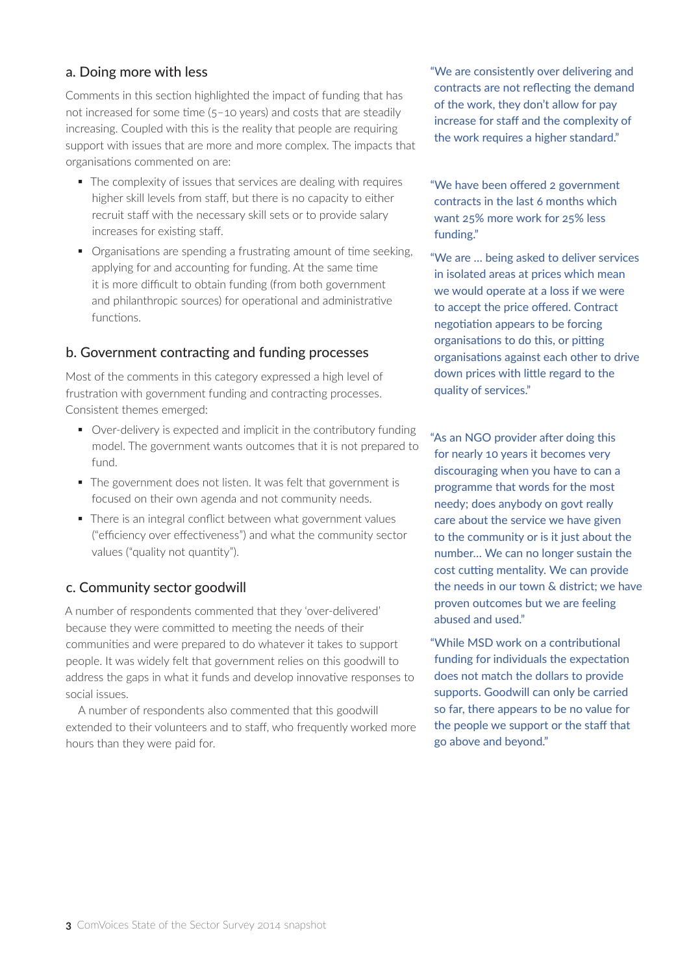#### a. Doing more with less

Comments in this section highlighted the impact of funding that has not increased for some time (5–10 years) and costs that are steadily increasing. Coupled with this is the reality that people are requiring support with issues that are more and more complex. The impacts that organisations commented on are:

- The complexity of issues that services are dealing with requires higher skill levels from staff, but there is no capacity to either recruit staff with the necessary skill sets or to provide salary increases for existing staff.
- Organisations are spending a frustrating amount of time seeking, applying for and accounting for funding. At the same time it is more difficult to obtain funding (from both government and philanthropic sources) for operational and administrative functions.

#### b. Government contracting and funding processes

Most of the comments in this category expressed a high level of frustration with government funding and contracting processes. Consistent themes emerged:

- Over-delivery is expected and implicit in the contributory funding model. The government wants outcomes that it is not prepared to fund.
- The government does not listen. It was felt that government is focused on their own agenda and not community needs.
- There is an integral conflict between what government values ("efficiency over effectiveness") and what the community sector values ("quality not quantity").

#### c. Community sector goodwill

A number of respondents commented that they 'over-delivered' because they were committed to meeting the needs of their communities and were prepared to do whatever it takes to support people. It was widely felt that government relies on this goodwill to address the gaps in what it funds and develop innovative responses to social issues.

A number of respondents also commented that this goodwill extended to their volunteers and to staff, who frequently worked more hours than they were paid for.

"We are consistently over delivering and contracts are not reflecting the demand of the work, they don't allow for pay increase for staff and the complexity of the work requires a higher standard."

"We have been offered 2 government contracts in the last 6 months which want 25% more work for 25% less funding."

"We are … being asked to deliver services in isolated areas at prices which mean we would operate at a loss if we were to accept the price offered. Contract negotiation appears to be forcing organisations to do this, or pitting organisations against each other to drive down prices with little regard to the quality of services."

"As an NGO provider after doing this for nearly 10 years it becomes very discouraging when you have to can a programme that words for the most needy; does anybody on govt really care about the service we have given to the community or is it just about the number… We can no longer sustain the cost cutting mentality. We can provide the needs in our town & district; we have proven outcomes but we are feeling abused and used."

"While MSD work on a contributional funding for individuals the expectation does not match the dollars to provide supports. Goodwill can only be carried so far, there appears to be no value for the people we support or the staff that go above and beyond."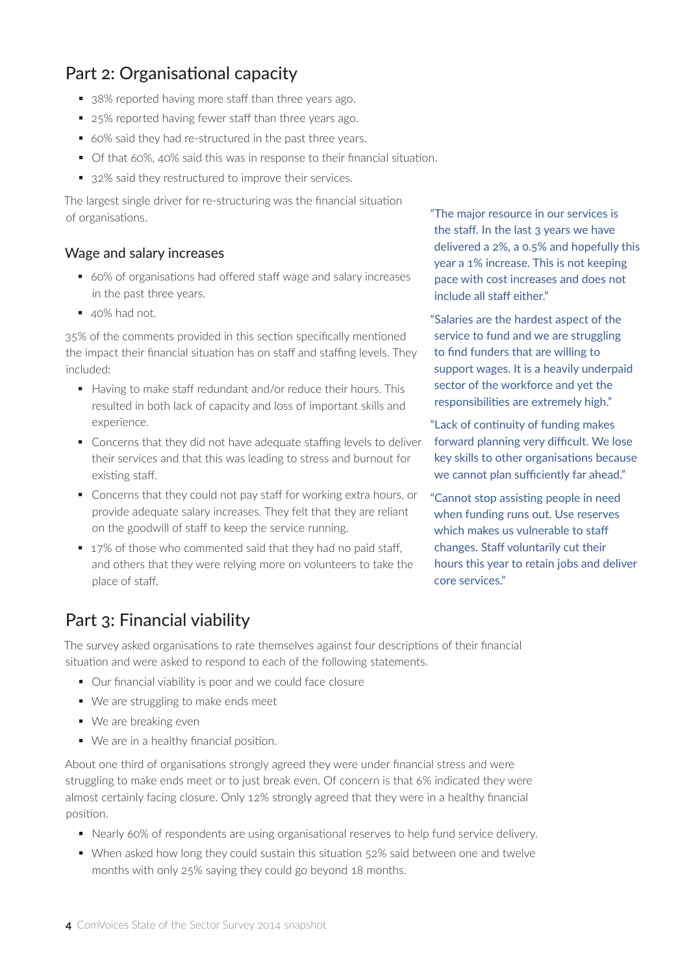# Part 2: Organisational capacity

- 38% reported having more staff than three years ago.
- 25% reported having fewer staff than three years ago.
- 60% said they had re-structured in the past three years.
- Of that 60%, 40% said this was in response to their financial situation.
- 32% said they restructured to improve their services.

The largest single driver for re-structuring was the financial situation of organisations.

#### Wage and salary increases

- 60% of organisations had offered staff wage and salary increases in the past three years.
- $\blacksquare$  40% had not.

35% of the comments provided in this section specifically mentioned the impact their financial situation has on staff and staffing levels. They included:

- Having to make staff redundant and/or reduce their hours. This resulted in both lack of capacity and loss of important skills and experience.
- Concerns that they did not have adequate staffing levels to deliver their services and that this was leading to stress and burnout for existing staff.
- Concerns that they could not pay staff for working extra hours, or provide adequate salary increases. They felt that they are reliant on the goodwill of staff to keep the service running.
- 17% of those who commented said that they had no paid staff, and others that they were relying more on volunteers to take the place of staff.

# Part 3: Financial viability

The survey asked organisations to rate themselves against four descriptions of their financial situation and were asked to respond to each of the following statements.

- Our financial viability is poor and we could face closure
- We are struggling to make ends meet
- We are breaking even
- We are in a healthy financial position.

About one third of organisations strongly agreed they were under financial stress and were struggling to make ends meet or to just break even. Of concern is that 6% indicated they were almost certainly facing closure. Only 12% strongly agreed that they were in a healthy financial position.

- Nearly 60% of respondents are using organisational reserves to help fund service delivery.
- When asked how long they could sustain this situation 52% said between one and twelve months with only 25% saying they could go beyond 18 months.

"The major resource in our services is the staff. In the last 3 years we have delivered a 2%, a 0.5% and hopefully this year a 1% increase. This is not keeping pace with cost increases and does not include all staff either."

"Salaries are the hardest aspect of the service to fund and we are struggling to find funders that are willing to support wages. It is a heavily underpaid sector of the workforce and yet the responsibilities are extremely high."

"Lack of continuity of funding makes forward planning very difficult. We lose key skills to other organisations because we cannot plan sufficiently far ahead."

"Cannot stop assisting people in need when funding runs out. Use reserves which makes us vulnerable to staff changes. Staff voluntarily cut their hours this year to retain jobs and deliver core services."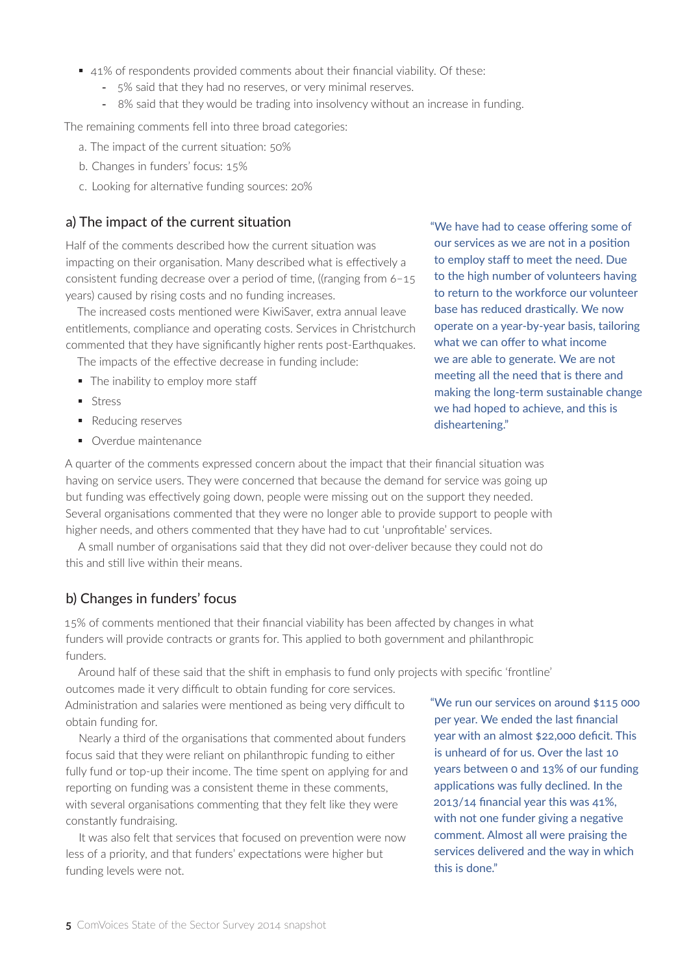- 41% of respondents provided comments about their financial viability. Of these:
	- 5% said that they had no reserves, or very minimal reserves.
	- 8% said that they would be trading into insolvency without an increase in funding.

The remaining comments fell into three broad categories:

- a. The impact of the current situation: 50%
- b. Changes in funders' focus: 15%
- c. Looking for alternative funding sources: 20%

#### a) The impact of the current situation

Half of the comments described how the current situation was impacting on their organisation. Many described what is effectively a consistent funding decrease over a period of time, ((ranging from 6–15 years) caused by rising costs and no funding increases.

The increased costs mentioned were KiwiSaver, extra annual leave entitlements, compliance and operating costs. Services in Christchurch commented that they have significantly higher rents post-Earthquakes.

- The impacts of the effective decrease in funding include:
- The inability to employ more staff
- **Stress**
- Reducing reserves
- Overdue maintenance

"We have had to cease offering some of our services as we are not in a position to employ staff to meet the need. Due to the high number of volunteers having to return to the workforce our volunteer base has reduced drastically. We now operate on a year-by-year basis, tailoring what we can offer to what income we are able to generate. We are not meeting all the need that is there and making the long-term sustainable change we had hoped to achieve, and this is disheartening."

A quarter of the comments expressed concern about the impact that their financial situation was having on service users. They were concerned that because the demand for service was going up but funding was effectively going down, people were missing out on the support they needed. Several organisations commented that they were no longer able to provide support to people with higher needs, and others commented that they have had to cut 'unprofitable' services.

A small number of organisations said that they did not over-deliver because they could not do this and still live within their means.

#### b) Changes in funders' focus

15% of comments mentioned that their financial viability has been affected by changes in what funders will provide contracts or grants for. This applied to both government and philanthropic funders.

Around half of these said that the shift in emphasis to fund only projects with specific 'frontline'

outcomes made it very difficult to obtain funding for core services. Administration and salaries were mentioned as being very difficult to obtain funding for.

Nearly a third of the organisations that commented about funders focus said that they were reliant on philanthropic funding to either fully fund or top-up their income. The time spent on applying for and reporting on funding was a consistent theme in these comments, with several organisations commenting that they felt like they were constantly fundraising.

It was also felt that services that focused on prevention were now less of a priority, and that funders' expectations were higher but funding levels were not.

"We run our services on around \$115 000 per year. We ended the last financial year with an almost \$22,000 deficit. This is unheard of for us. Over the last 10 years between 0 and 13% of our funding applications was fully declined. In the 2013/14 financial year this was 41%, with not one funder giving a negative comment. Almost all were praising the services delivered and the way in which this is done."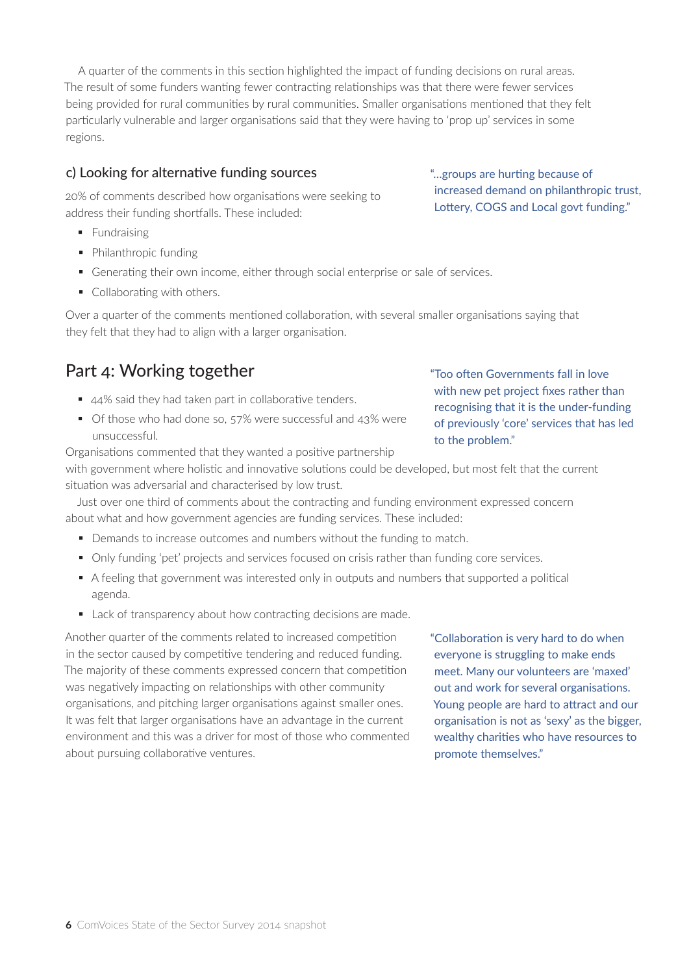A quarter of the comments in this section highlighted the impact of funding decisions on rural areas. The result of some funders wanting fewer contracting relationships was that there were fewer services being provided for rural communities by rural communities. Smaller organisations mentioned that they felt particularly vulnerable and larger organisations said that they were having to 'prop up' services in some regions.

#### c) Looking for alternative funding sources

20% of comments described how organisations were seeking to address their funding shortfalls. These included:

- Fundraising
- Philanthropic funding
- Generating their own income, either through social enterprise or sale of services.
- Collaborating with others.

Over a quarter of the comments mentioned collaboration, with several smaller organisations saying that they felt that they had to align with a larger organisation.

# Part 4: Working together

- 44% said they had taken part in collaborative tenders.
- Of those who had done so, 57% were successful and 43% were unsuccessful.

Organisations commented that they wanted a positive partnership with government where holistic and innovative solutions could be developed, but most felt that the current situation was adversarial and characterised by low trust.

Just over one third of comments about the contracting and funding environment expressed concern about what and how government agencies are funding services. These included:

- Demands to increase outcomes and numbers without the funding to match.
- Only funding 'pet' projects and services focused on crisis rather than funding core services.
- A feeling that government was interested only in outputs and numbers that supported a political agenda.
- Lack of transparency about how contracting decisions are made.

Another quarter of the comments related to increased competition in the sector caused by competitive tendering and reduced funding. The majority of these comments expressed concern that competition was negatively impacting on relationships with other community organisations, and pitching larger organisations against smaller ones. It was felt that larger organisations have an advantage in the current environment and this was a driver for most of those who commented about pursuing collaborative ventures.

"Collaboration is very hard to do when everyone is struggling to make ends meet. Many our volunteers are 'maxed' out and work for several organisations. Young people are hard to attract and our organisation is not as 'sexy' as the bigger, wealthy charities who have resources to promote themselves."

"…groups are hurting because of increased demand on philanthropic trust, Lottery, COGS and Local govt funding."

"Too often Governments fall in love with new pet project fixes rather than recognising that it is the under-funding of previously 'core' services that has led to the problem."